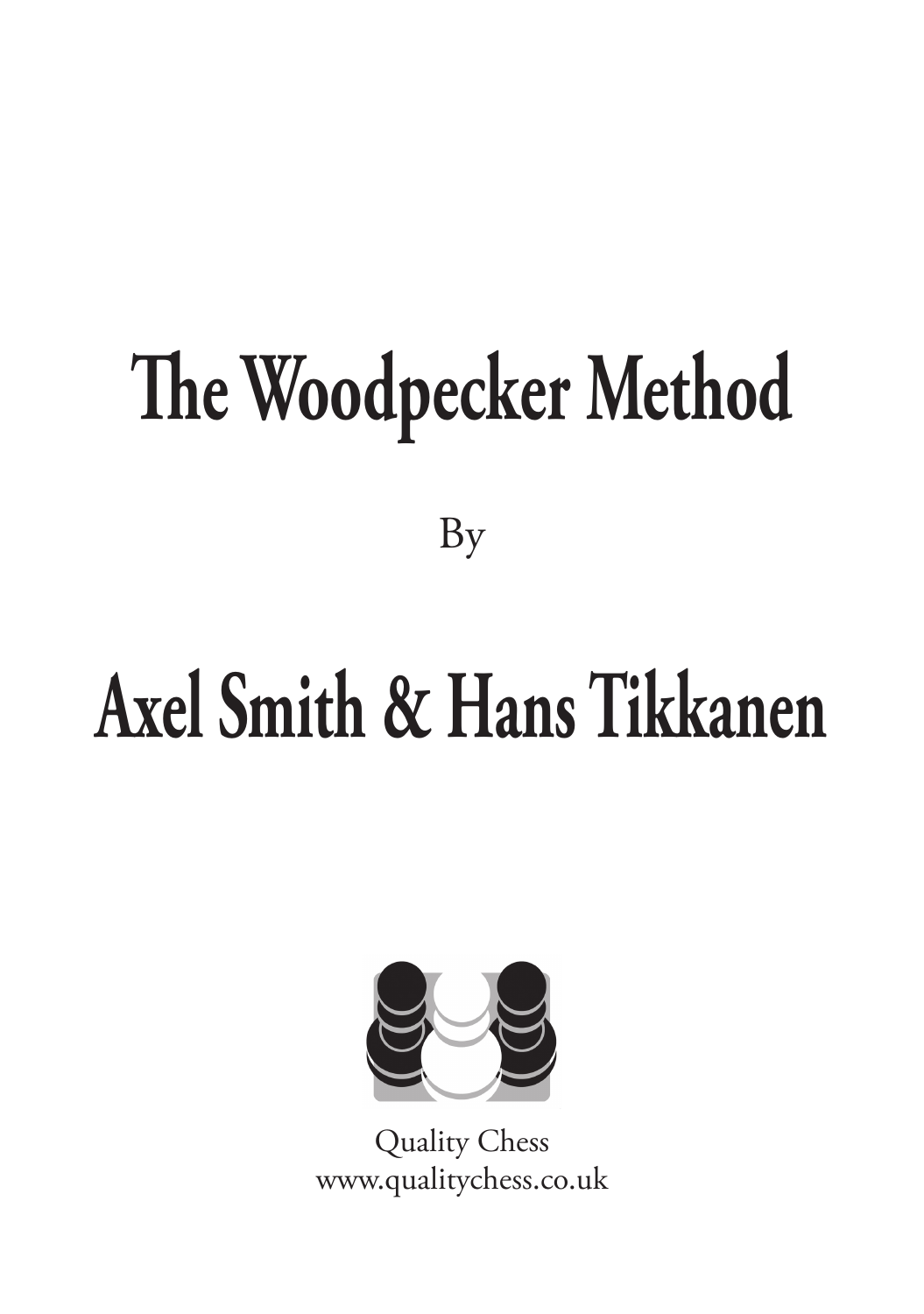# **[The Woodpecker Method](http://www.qualitychess.co.uk/products/2/327/the_woodpecker_method_by_axel_smith_and_hans_tikkanen/)**

[By](http://www.qualitychess.co.uk/products/2/327/the_woodpecker_method_by_axel_smith_and_hans_tikkanen/)

# **[Axel Smith & Hans Tikkanen](http://www.qualitychess.co.uk/products/2/327/the_woodpecker_method_by_axel_smith_and_hans_tikkanen/)**



[Quality Chess](http://www.qualitychess.co.uk/) [www.qualitychess.co.uk](http://www.qualitychess.co.uk/)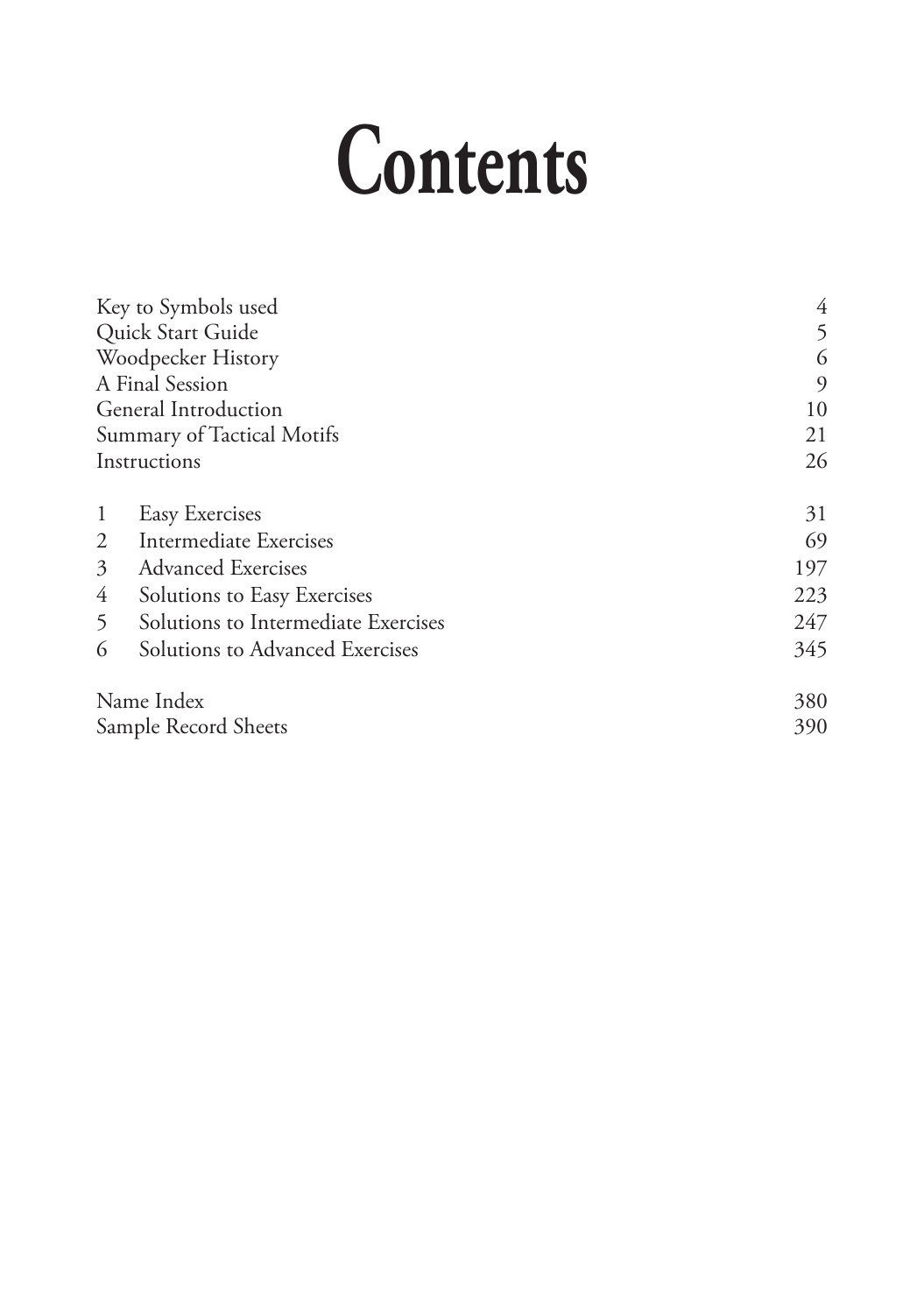# **Contents**

|                      | Key to Symbols used                 | 4   |
|----------------------|-------------------------------------|-----|
| Quick Start Guide    |                                     | 5   |
|                      | Woodpecker History                  | 6   |
|                      | A Final Session                     | 9   |
|                      | General Introduction                | 10  |
|                      | Summary of Tactical Motifs          | 21  |
| Instructions         |                                     | 26  |
| $\mathbf{1}$         | Easy Exercises                      | 31  |
| $\overline{2}$       | Intermediate Exercises              | 69  |
| 3 <sup>1</sup>       | <b>Advanced Exercises</b>           | 197 |
| 4                    | Solutions to Easy Exercises         | 223 |
| 5                    | Solutions to Intermediate Exercises | 247 |
| 6                    | Solutions to Advanced Exercises     | 345 |
| Name Index           |                                     | 380 |
| Sample Record Sheets |                                     | 390 |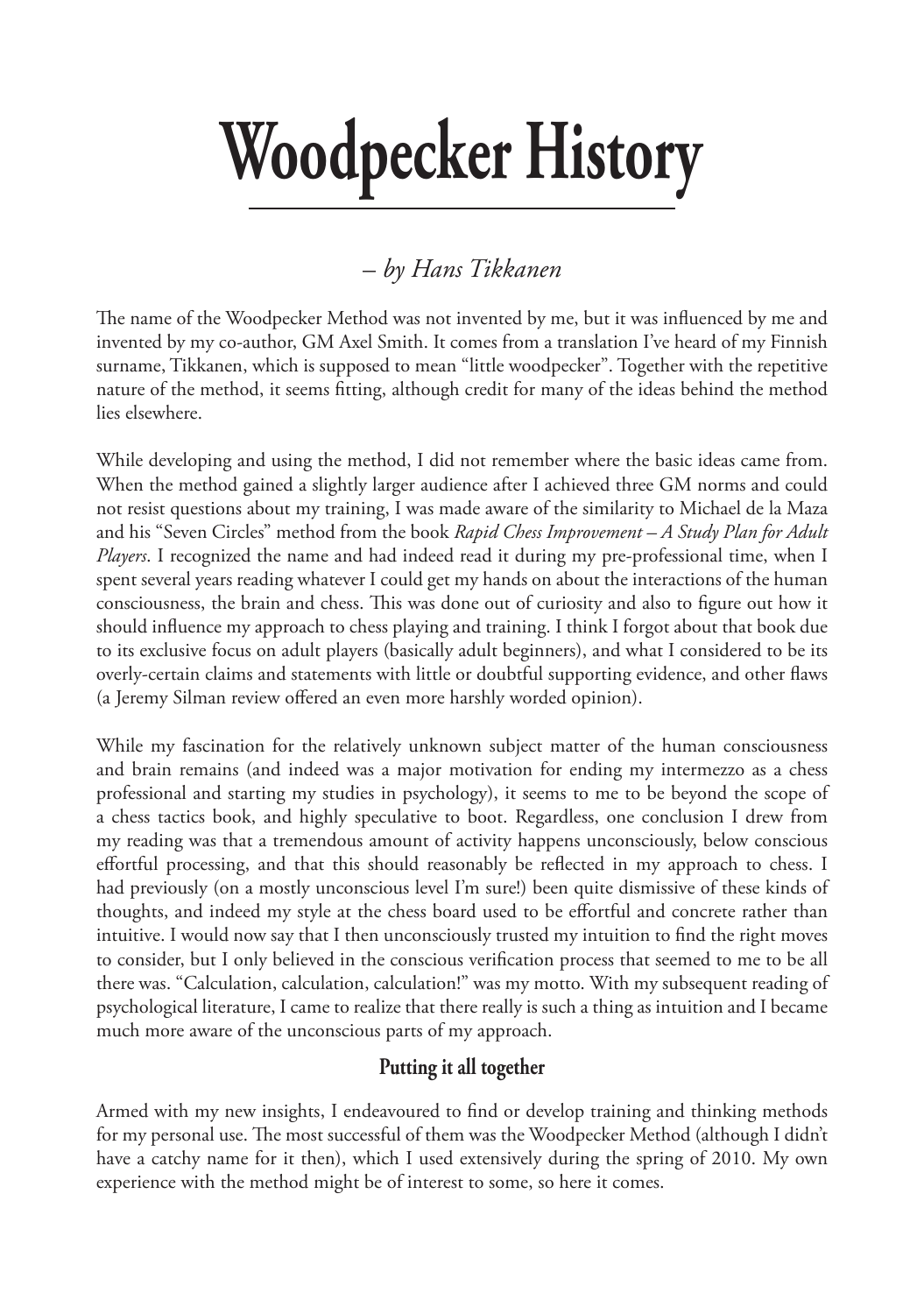### **Woodpecker History**

#### – *by Hans Tikkanen*

The name of the Woodpecker Method was not invented by me, but it was influenced by me and invented by my co-author, GM Axel Smith. It comes from a translation I've heard of my Finnish surname, Tikkanen, which is supposed to mean "little woodpecker". Together with the repetitive nature of the method, it seems fitting, although credit for many of the ideas behind the method lies elsewhere.

While developing and using the method, I did not remember where the basic ideas came from. When the method gained a slightly larger audience after I achieved three GM norms and could not resist questions about my training, I was made aware of the similarity to Michael de la Maza and his "Seven Circles" method from the book *Rapid Chess Improvement – A Study Plan for Adult Players*. I recognized the name and had indeed read it during my pre-professional time, when I spent several years reading whatever I could get my hands on about the interactions of the human consciousness, the brain and chess. This was done out of curiosity and also to figure out how it should influence my approach to chess playing and training. I think I forgot about that book due to its exclusive focus on adult players (basically adult beginners), and what I considered to be its overly-certain claims and statements with little or doubtful supporting evidence, and other flaws (a Jeremy Silman review offered an even more harshly worded opinion).

While my fascination for the relatively unknown subject matter of the human consciousness and brain remains (and indeed was a major motivation for ending my intermezzo as a chess professional and starting my studies in psychology), it seems to me to be beyond the scope of a chess tactics book, and highly speculative to boot. Regardless, one conclusion I drew from my reading was that a tremendous amount of activity happens unconsciously, below conscious effortful processing, and that this should reasonably be reflected in my approach to chess. I had previously (on a mostly unconscious level I'm sure!) been quite dismissive of these kinds of thoughts, and indeed my style at the chess board used to be effortful and concrete rather than intuitive. I would now say that I then unconsciously trusted my intuition to find the right moves to consider, but I only believed in the conscious verification process that seemed to me to be all there was. "Calculation, calculation, calculation!" was my motto. With my subsequent reading of psychological literature, I came to realize that there really is such a thing as intuition and I became much more aware of the unconscious parts of my approach.

#### **Putting it all together**

Armed with my new insights, I endeavoured to find or develop training and thinking methods for my personal use. The most successful of them was the Woodpecker Method (although I didn't have a catchy name for it then), which I used extensively during the spring of 2010. My own experience with the method might be of interest to some, so here it comes.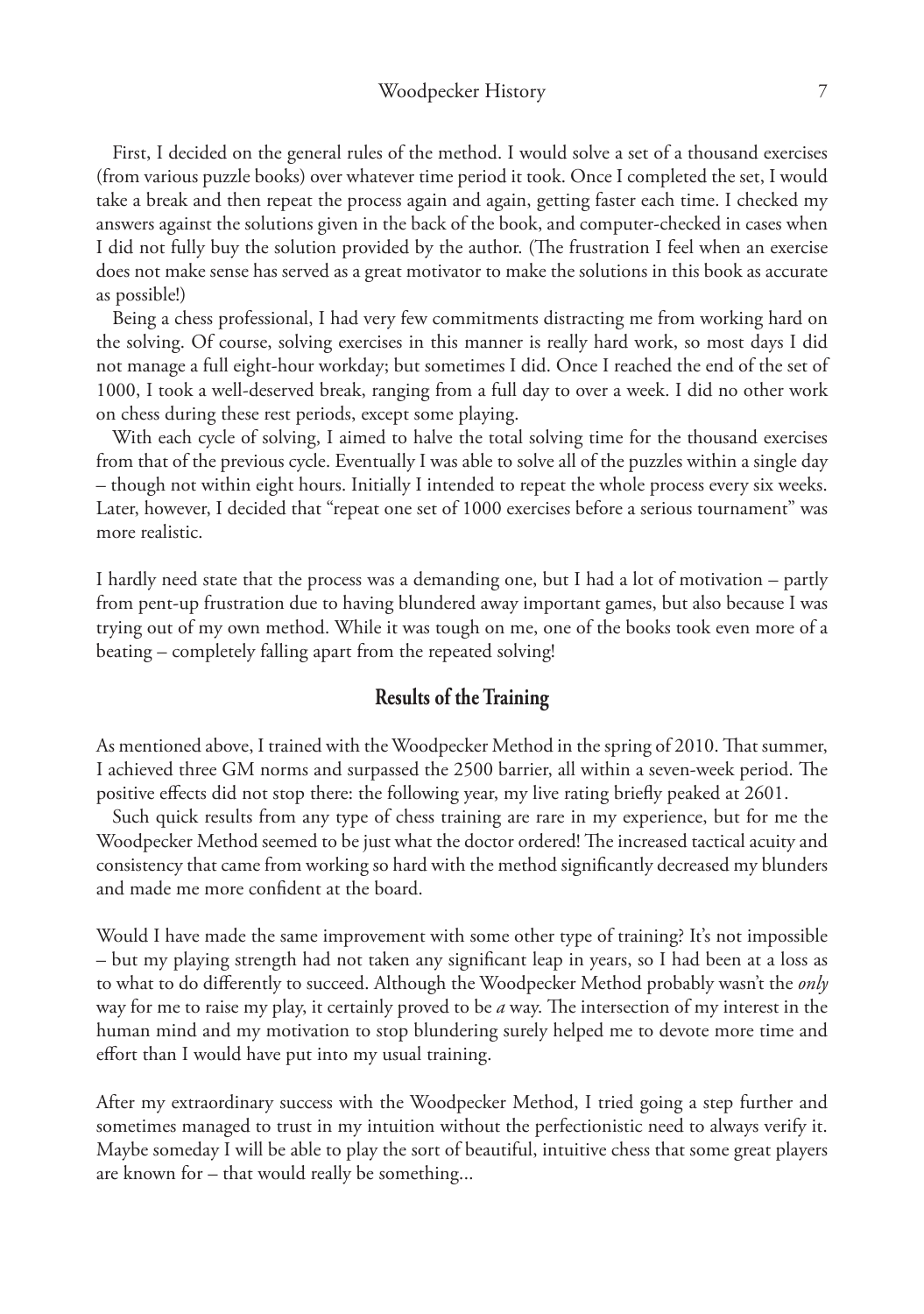#### Woodpecker History 7

First, I decided on the general rules of the method. I would solve a set of a thousand exercises (from various puzzle books) over whatever time period it took. Once I completed the set, I would take a break and then repeat the process again and again, getting faster each time. I checked my answers against the solutions given in the back of the book, and computer-checked in cases when I did not fully buy the solution provided by the author. (The frustration I feel when an exercise does not make sense has served as a great motivator to make the solutions in this book as accurate as possible!)

Being a chess professional, I had very few commitments distracting me from working hard on the solving. Of course, solving exercises in this manner is really hard work, so most days I did not manage a full eight-hour workday; but sometimes I did. Once I reached the end of the set of 1000, I took a well-deserved break, ranging from a full day to over a week. I did no other work on chess during these rest periods, except some playing.

With each cycle of solving, I aimed to halve the total solving time for the thousand exercises from that of the previous cycle. Eventually I was able to solve all of the puzzles within a single day – though not within eight hours. Initially I intended to repeat the whole process every six weeks. Later, however, I decided that "repeat one set of 1000 exercises before a serious tournament" was more realistic.

I hardly need state that the process was a demanding one, but I had a lot of motivation – partly from pent-up frustration due to having blundered away important games, but also because I was trying out of my own method. While it was tough on me, one of the books took even more of a beating – completely falling apart from the repeated solving!

#### **Results of the Training**

As mentioned above, I trained with the Woodpecker Method in the spring of 2010. That summer, I achieved three GM norms and surpassed the 2500 barrier, all within a seven-week period. The positive effects did not stop there: the following year, my live rating briefly peaked at 2601.

Such quick results from any type of chess training are rare in my experience, but for me the Woodpecker Method seemed to be just what the doctor ordered! The increased tactical acuity and consistency that came from working so hard with the method significantly decreased my blunders and made me more confident at the board.

Would I have made the same improvement with some other type of training? It's not impossible – but my playing strength had not taken any significant leap in years, so I had been at a loss as to what to do differently to succeed. Although the Woodpecker Method probably wasn't the *only* way for me to raise my play, it certainly proved to be *a* way. The intersection of my interest in the human mind and my motivation to stop blundering surely helped me to devote more time and effort than I would have put into my usual training.

After my extraordinary success with the Woodpecker Method, I tried going a step further and sometimes managed to trust in my intuition without the perfectionistic need to always verify it. Maybe someday I will be able to play the sort of beautiful, intuitive chess that some great players are known for – that would really be something...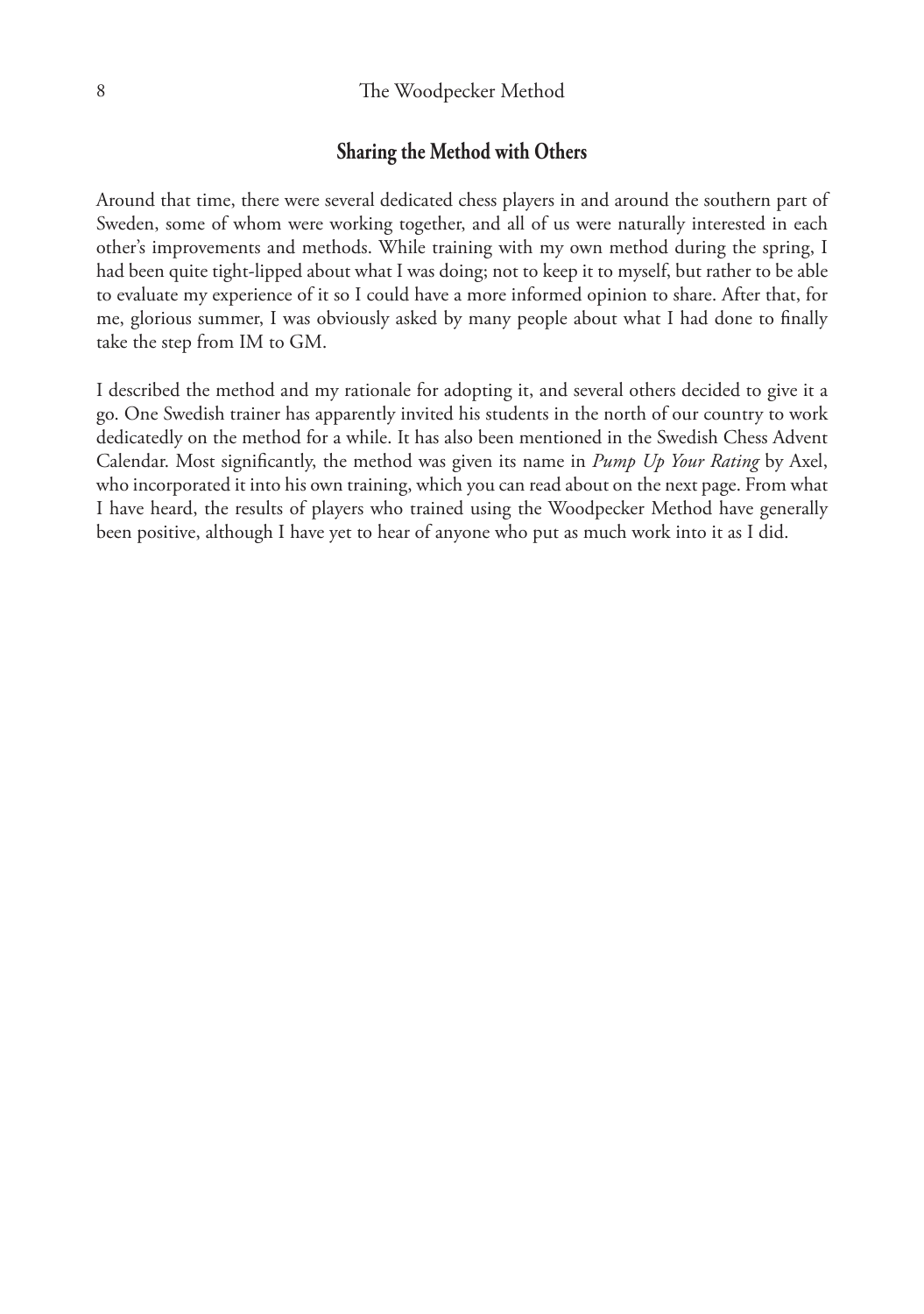#### **Sharing the Method with Others**

Around that time, there were several dedicated chess players in and around the southern part of Sweden, some of whom were working together, and all of us were naturally interested in each other's improvements and methods. While training with my own method during the spring, I had been quite tight-lipped about what I was doing; not to keep it to myself, but rather to be able to evaluate my experience of it so I could have a more informed opinion to share. After that, for me, glorious summer, I was obviously asked by many people about what I had done to finally take the step from IM to GM.

I described the method and my rationale for adopting it, and several others decided to give it a go. One Swedish trainer has apparently invited his students in the north of our country to work dedicatedly on the method for a while. It has also been mentioned in the Swedish Chess Advent Calendar. Most significantly, the method was given its name in *Pump Up Your Rating* by Axel, who incorporated it into his own training, which you can read about on the next page. From what I have heard, the results of players who trained using the Woodpecker Method have generally been positive, although I have yet to hear of anyone who put as much work into it as I did.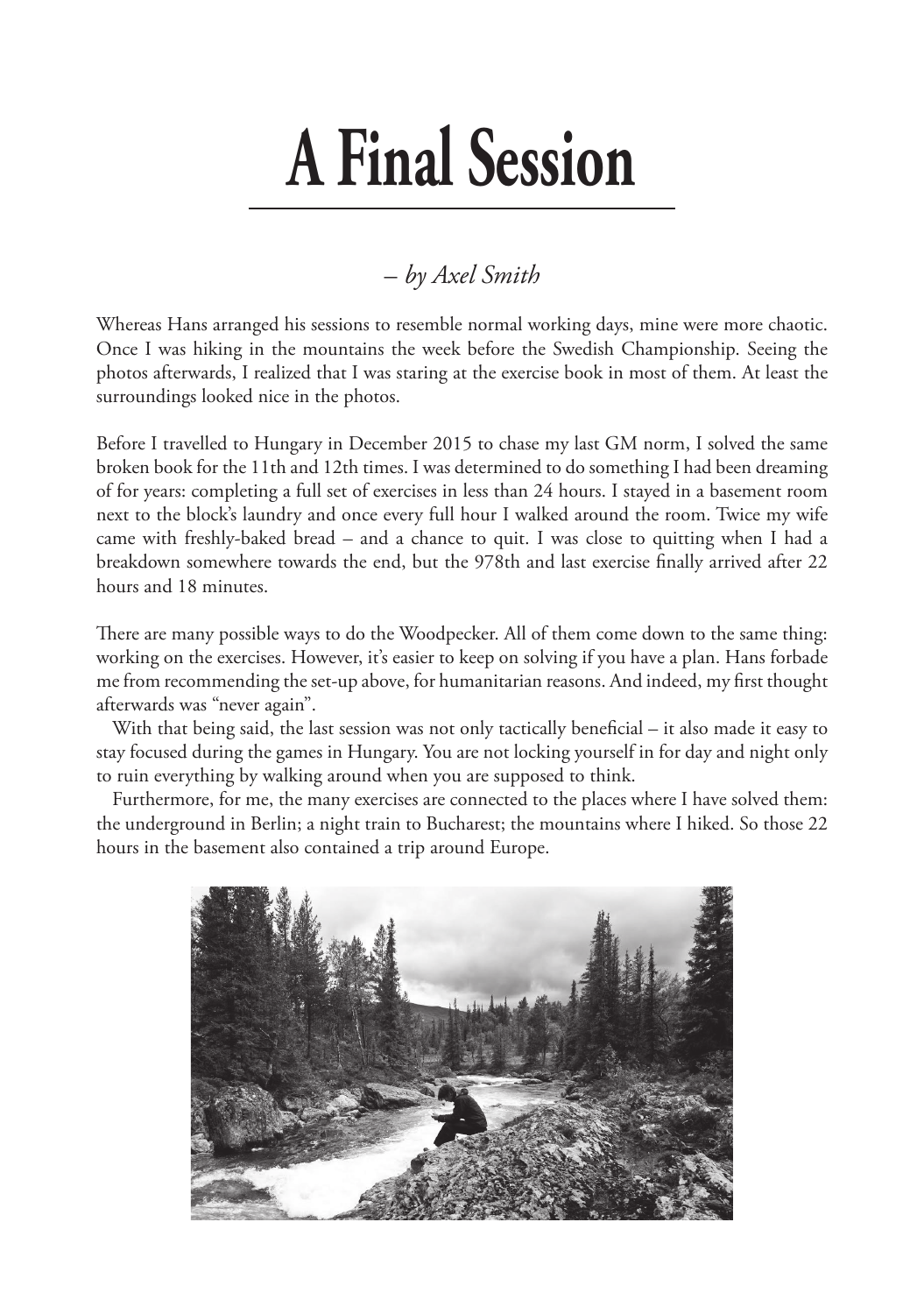### **A Final Session**

#### – *by Axel Smith*

Whereas Hans arranged his sessions to resemble normal working days, mine were more chaotic. Once I was hiking in the mountains the week before the Swedish Championship. Seeing the photos afterwards, I realized that I was staring at the exercise book in most of them. At least the surroundings looked nice in the photos.

Before I travelled to Hungary in December 2015 to chase my last GM norm, I solved the same broken book for the 11th and 12th times. I was determined to do something I had been dreaming of for years: completing a full set of exercises in less than 24 hours. I stayed in a basement room next to the block's laundry and once every full hour I walked around the room. Twice my wife came with freshly-baked bread – and a chance to quit. I was close to quitting when I had a breakdown somewhere towards the end, but the 978th and last exercise finally arrived after 22 hours and 18 minutes.

There are many possible ways to do the Woodpecker. All of them come down to the same thing: working on the exercises. However, it's easier to keep on solving if you have a plan. Hans forbade me from recommending the set-up above, for humanitarian reasons. And indeed, my first thought afterwards was "never again".

With that being said, the last session was not only tactically beneficial – it also made it easy to stay focused during the games in Hungary. You are not locking yourself in for day and night only to ruin everything by walking around when you are supposed to think.

Furthermore, for me, the many exercises are connected to the places where I have solved them: the underground in Berlin; a night train to Bucharest; the mountains where I hiked. So those 22 hours in the basement also contained a trip around Europe.

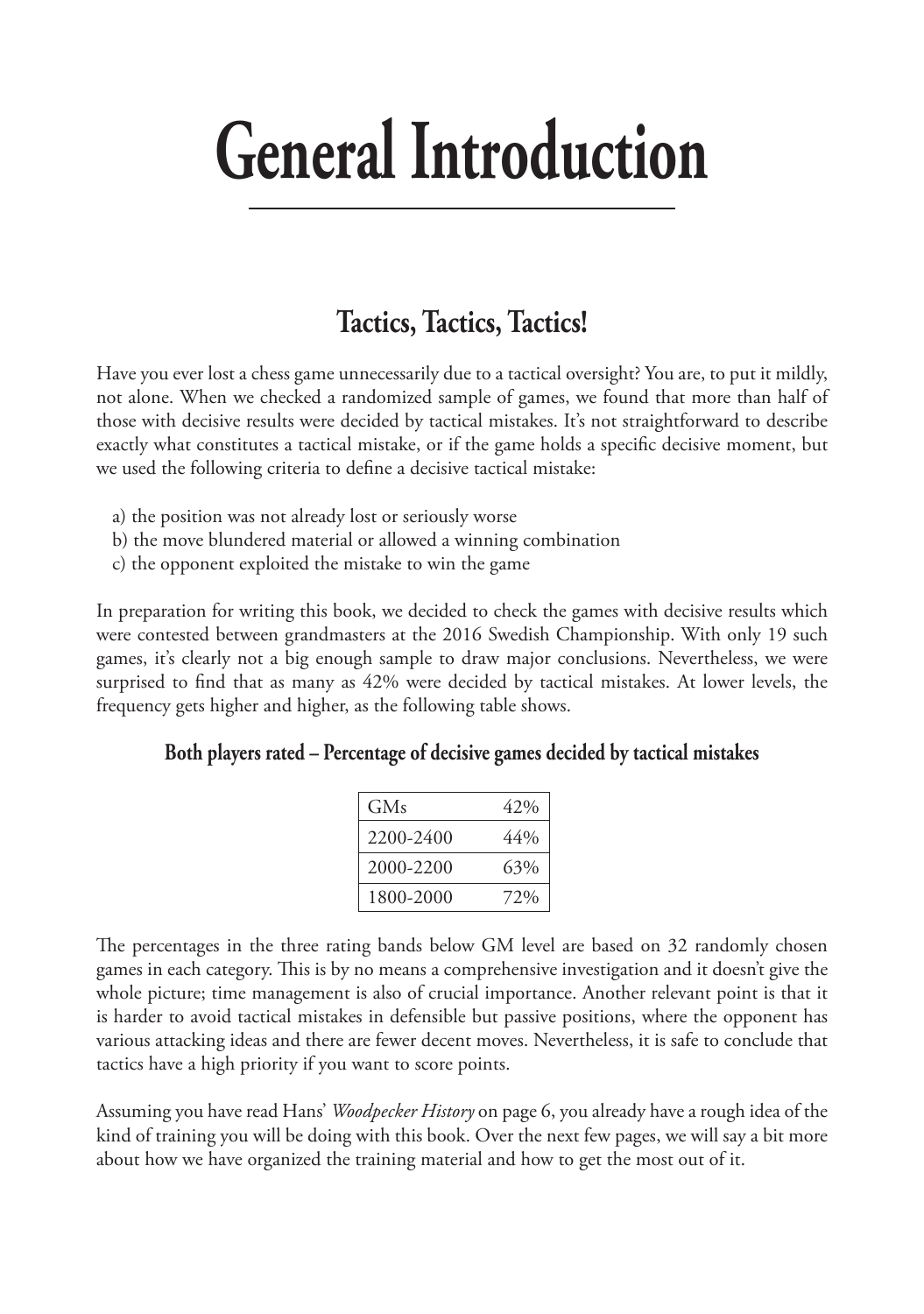### **General Introduction**

#### **Tactics, Tactics, Tactics!**

Have you ever lost a chess game unnecessarily due to a tactical oversight? You are, to put it mildly, not alone. When we checked a randomized sample of games, we found that more than half of those with decisive results were decided by tactical mistakes. It's not straightforward to describe exactly what constitutes a tactical mistake, or if the game holds a specific decisive moment, but we used the following criteria to define a decisive tactical mistake:

- a) the position was not already lost or seriously worse
- b) the move blundered material or allowed a winning combination
- c) the opponent exploited the mistake to win the game

In preparation for writing this book, we decided to check the games with decisive results which were contested between grandmasters at the 2016 Swedish Championship. With only 19 such games, it's clearly not a big enough sample to draw major conclusions. Nevertheless, we were surprised to find that as many as 42% were decided by tactical mistakes. At lower levels, the frequency gets higher and higher, as the following table shows.

#### **Both players rated – Percentage of decisive games decided by tactical mistakes**

| GMs       | 42% |
|-----------|-----|
| 2200-2400 | 44% |
| 2000-2200 | 63% |
| 1800-2000 | 72% |

The percentages in the three rating bands below GM level are based on 32 randomly chosen games in each category. This is by no means a comprehensive investigation and it doesn't give the whole picture; time management is also of crucial importance. Another relevant point is that it is harder to avoid tactical mistakes in defensible but passive positions, where the opponent has various attacking ideas and there are fewer decent moves. Nevertheless, it is safe to conclude that tactics have a high priority if you want to score points.

Assuming you have read Hans' *Woodpecker History* on page 6, you already have a rough idea of the kind of training you will be doing with this book. Over the next few pages, we will say a bit more about how we have organized the training material and how to get the most out of it.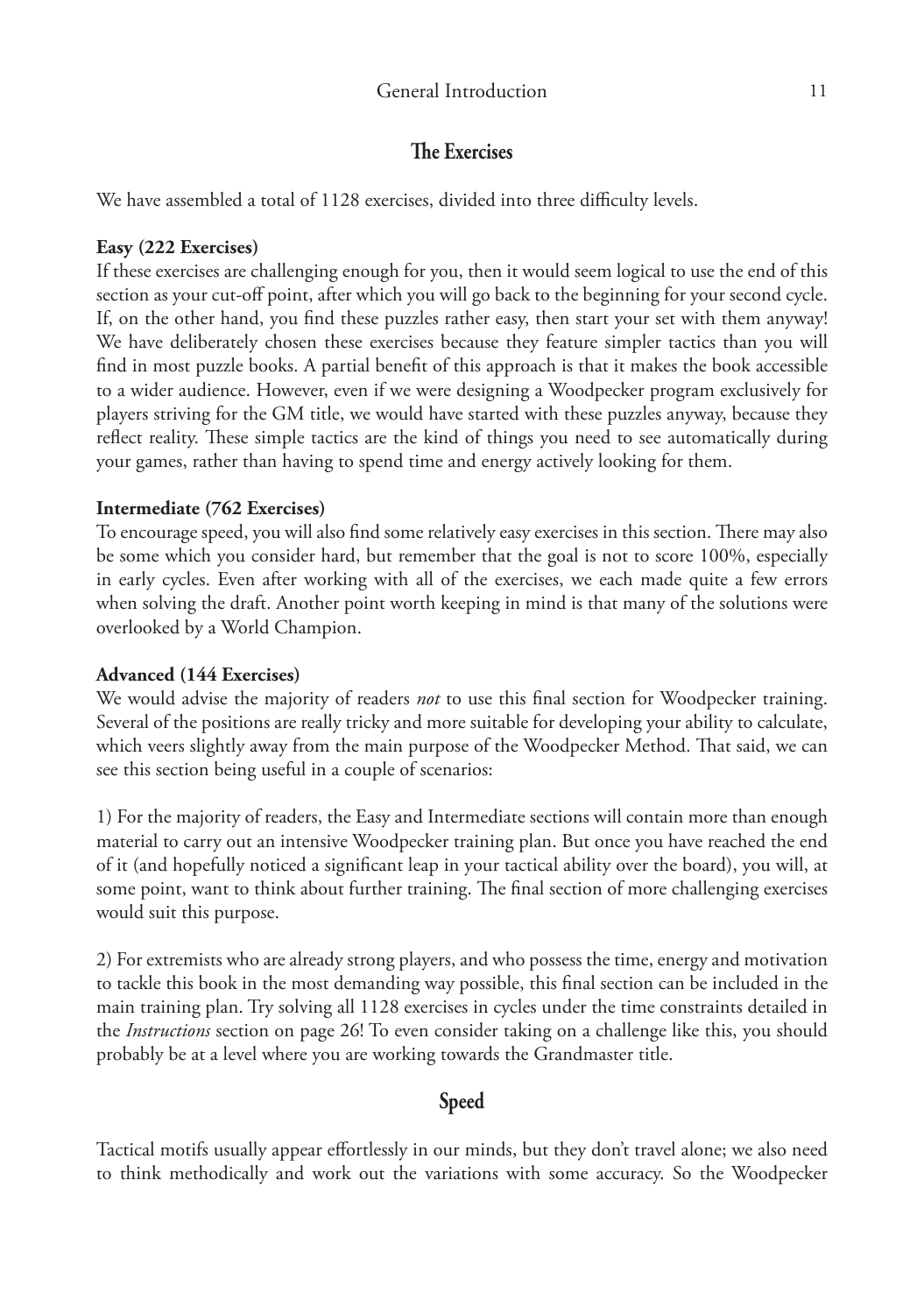#### General Introduction 11

#### **The Exercises**

We have assembled a total of 1128 exercises, divided into three difficulty levels.

#### **Easy (222 Exercises)**

If these exercises are challenging enough for you, then it would seem logical to use the end of this section as your cut-off point, after which you will go back to the beginning for your second cycle. If, on the other hand, you find these puzzles rather easy, then start your set with them anyway! We have deliberately chosen these exercises because they feature simpler tactics than you will find in most puzzle books. A partial benefit of this approach is that it makes the book accessible to a wider audience. However, even if we were designing a Woodpecker program exclusively for players striving for the GM title, we would have started with these puzzles anyway, because they reflect reality. These simple tactics are the kind of things you need to see automatically during your games, rather than having to spend time and energy actively looking for them.

#### **Intermediate (762 Exercises)**

To encourage speed, you will also find some relatively easy exercises in this section. There may also be some which you consider hard, but remember that the goal is not to score 100%, especially in early cycles. Even after working with all of the exercises, we each made quite a few errors when solving the draft. Another point worth keeping in mind is that many of the solutions were overlooked by a World Champion.

#### **Advanced (144 Exercises)**

We would advise the majority of readers *not* to use this final section for Woodpecker training. Several of the positions are really tricky and more suitable for developing your ability to calculate, which veers slightly away from the main purpose of the Woodpecker Method. That said, we can see this section being useful in a couple of scenarios:

1) For the majority of readers, the Easy and Intermediate sections will contain more than enough material to carry out an intensive Woodpecker training plan. But once you have reached the end of it (and hopefully noticed a significant leap in your tactical ability over the board), you will, at some point, want to think about further training. The final section of more challenging exercises would suit this purpose.

2) For extremists who are already strong players, and who possess the time, energy and motivation to tackle this book in the most demanding way possible, this final section can be included in the main training plan. Try solving all 1128 exercises in cycles under the time constraints detailed in the *Instructions* section on page 26! To even consider taking on a challenge like this, you should probably be at a level where you are working towards the Grandmaster title.

#### **Speed**

Tactical motifs usually appear effortlessly in our minds, but they don't travel alone; we also need to think methodically and work out the variations with some accuracy. So the Woodpecker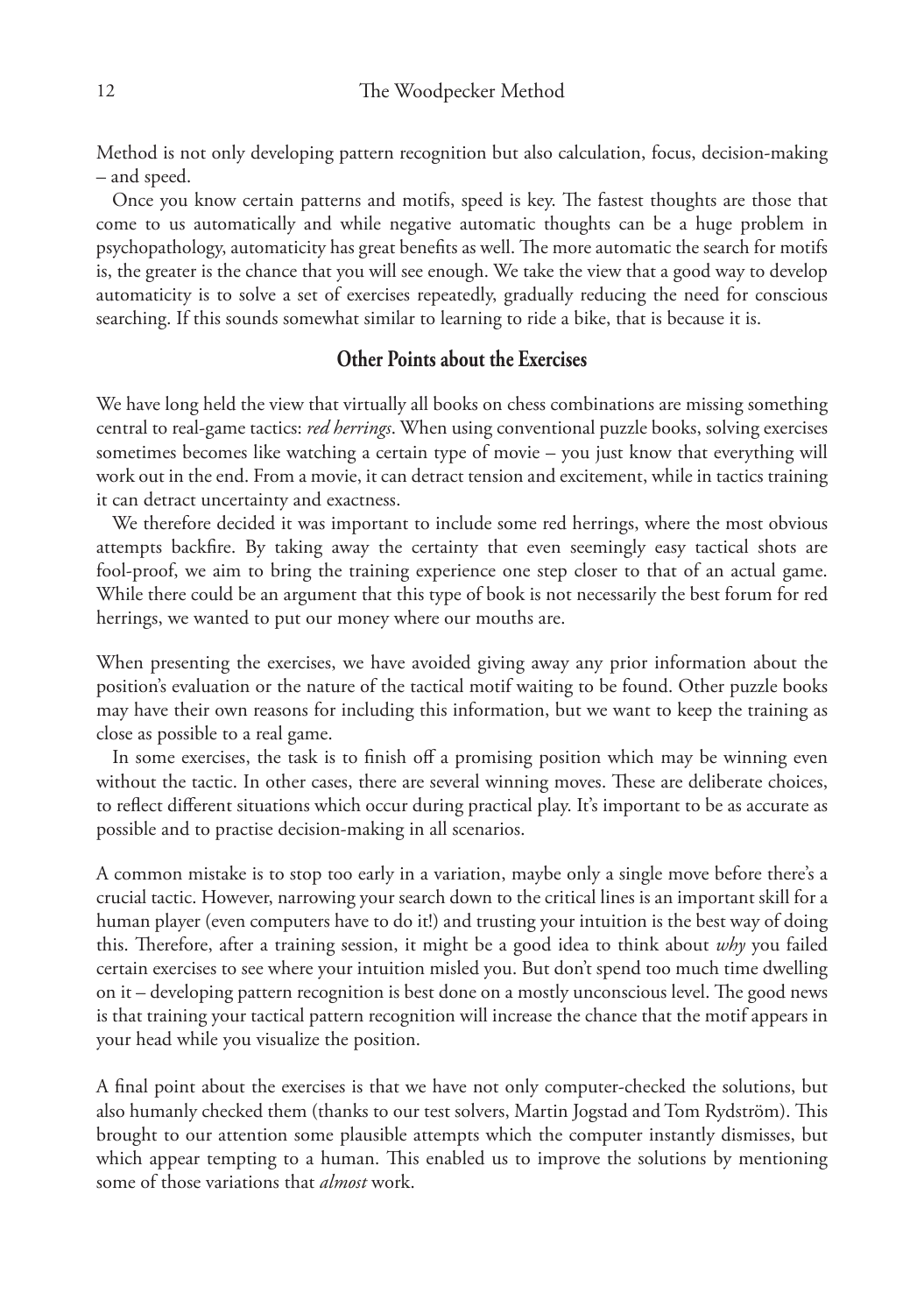Method is not only developing pattern recognition but also calculation, focus, decision-making – and speed.

Once you know certain patterns and motifs, speed is key. The fastest thoughts are those that come to us automatically and while negative automatic thoughts can be a huge problem in psychopathology, automaticity has great benefits as well. The more automatic the search for motifs is, the greater is the chance that you will see enough. We take the view that a good way to develop automaticity is to solve a set of exercises repeatedly, gradually reducing the need for conscious searching. If this sounds somewhat similar to learning to ride a bike, that is because it is.

#### **Other Points about the Exercises**

We have long held the view that virtually all books on chess combinations are missing something central to real-game tactics: *red herrings*. When using conventional puzzle books, solving exercises sometimes becomes like watching a certain type of movie – you just know that everything will work out in the end. From a movie, it can detract tension and excitement, while in tactics training it can detract uncertainty and exactness.

We therefore decided it was important to include some red herrings, where the most obvious attempts backfire. By taking away the certainty that even seemingly easy tactical shots are fool-proof, we aim to bring the training experience one step closer to that of an actual game. While there could be an argument that this type of book is not necessarily the best forum for red herrings, we wanted to put our money where our mouths are.

When presenting the exercises, we have avoided giving away any prior information about the position's evaluation or the nature of the tactical motif waiting to be found. Other puzzle books may have their own reasons for including this information, but we want to keep the training as close as possible to a real game.

In some exercises, the task is to finish off a promising position which may be winning even without the tactic. In other cases, there are several winning moves. These are deliberate choices, to reflect different situations which occur during practical play. It's important to be as accurate as possible and to practise decision-making in all scenarios.

A common mistake is to stop too early in a variation, maybe only a single move before there's a crucial tactic. However, narrowing your search down to the critical lines is an important skill for a human player (even computers have to do it!) and trusting your intuition is the best way of doing this. Therefore, after a training session, it might be a good idea to think about *why* you failed certain exercises to see where your intuition misled you. But don't spend too much time dwelling on it – developing pattern recognition is best done on a mostly unconscious level. The good news is that training your tactical pattern recognition will increase the chance that the motif appears in your head while you visualize the position.

A final point about the exercises is that we have not only computer-checked the solutions, but also humanly checked them (thanks to our test solvers, Martin Jogstad and Tom Rydström). This brought to our attention some plausible attempts which the computer instantly dismisses, but which appear tempting to a human. This enabled us to improve the solutions by mentioning some of those variations that *almost* work.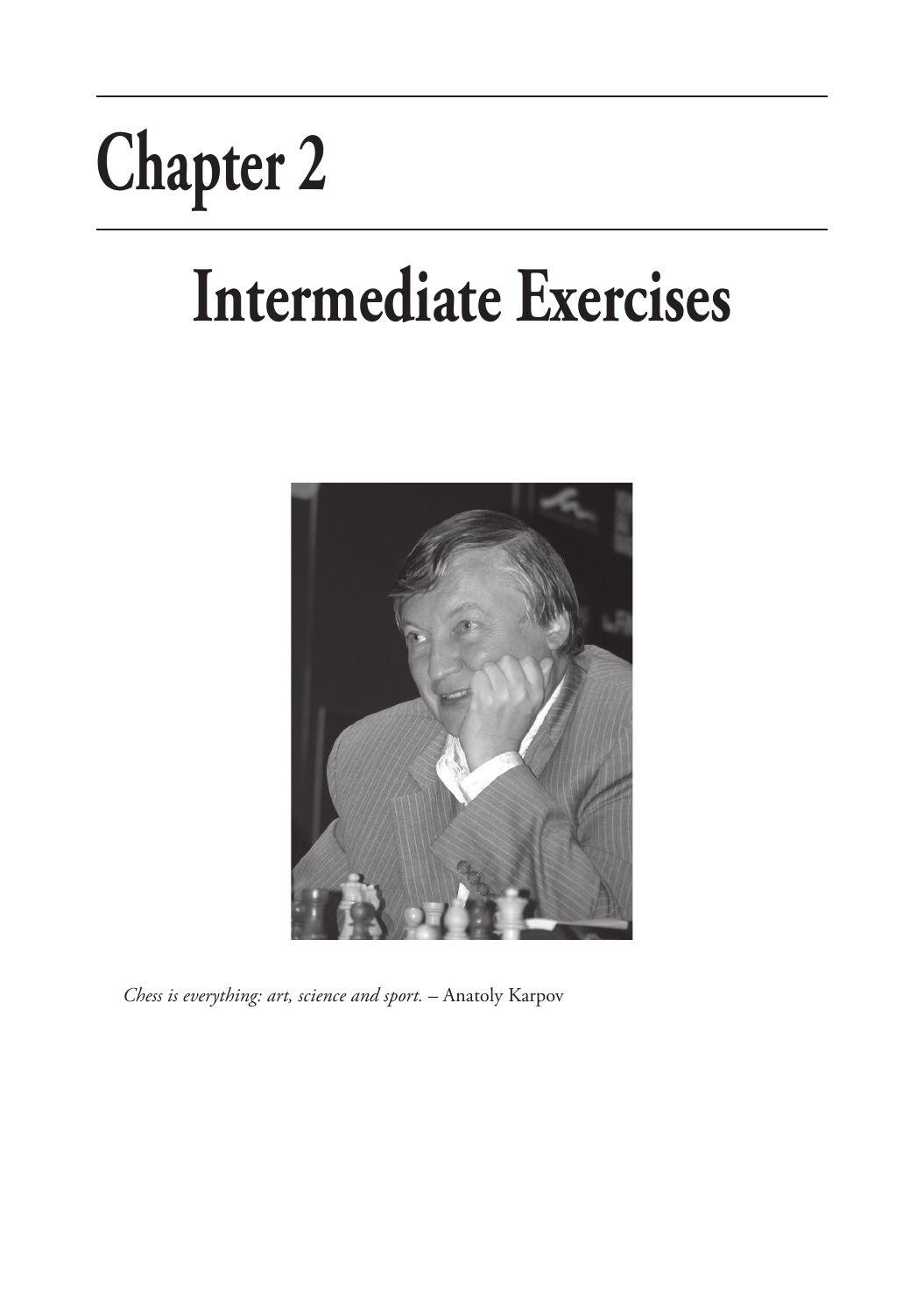## **Chapter 2**

### **Intermediate Exercises**



*Chess is everything: art, science and sport.* – Anatoly Karpov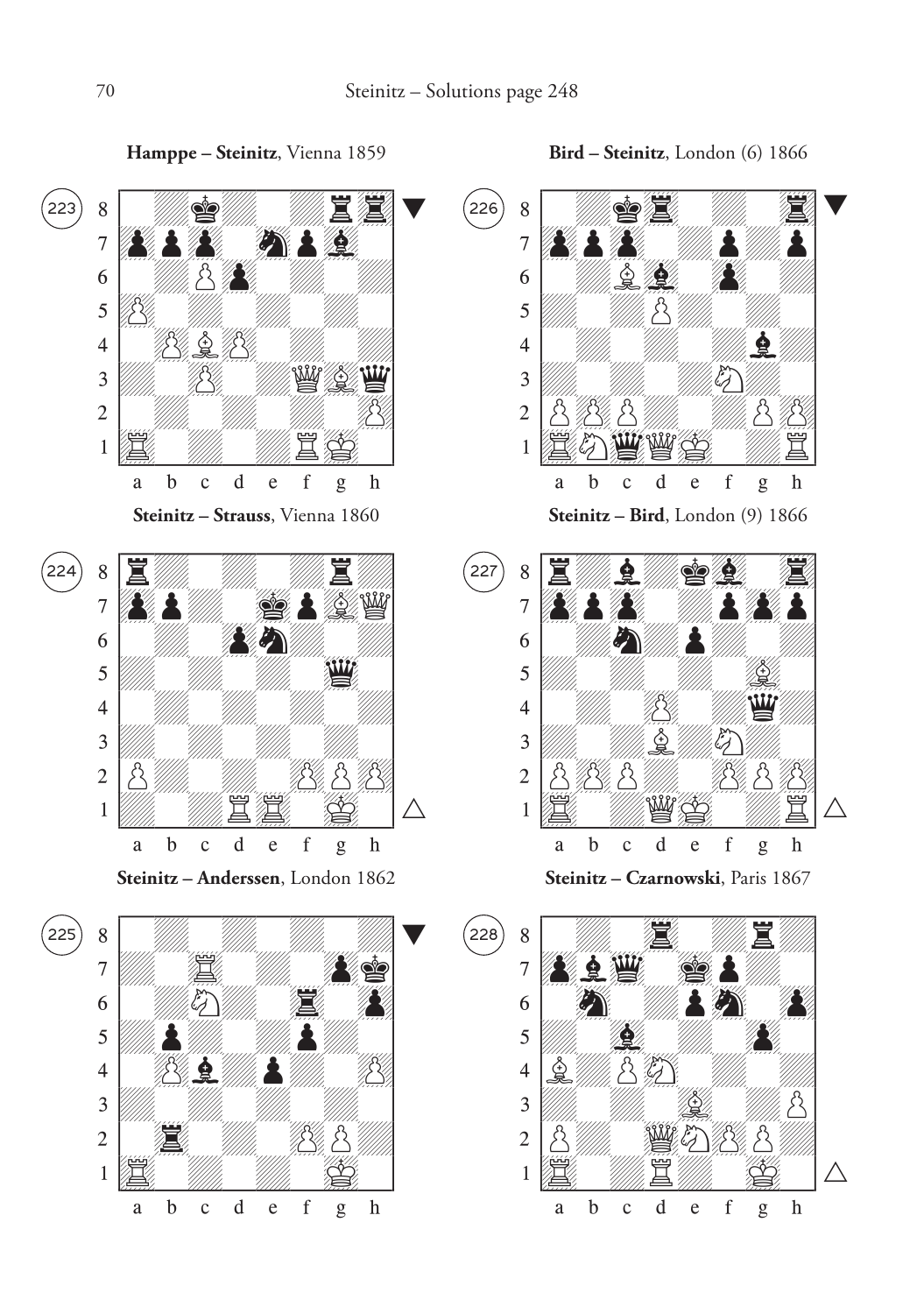**Hamppe – Steinitz**, Vienna 1859



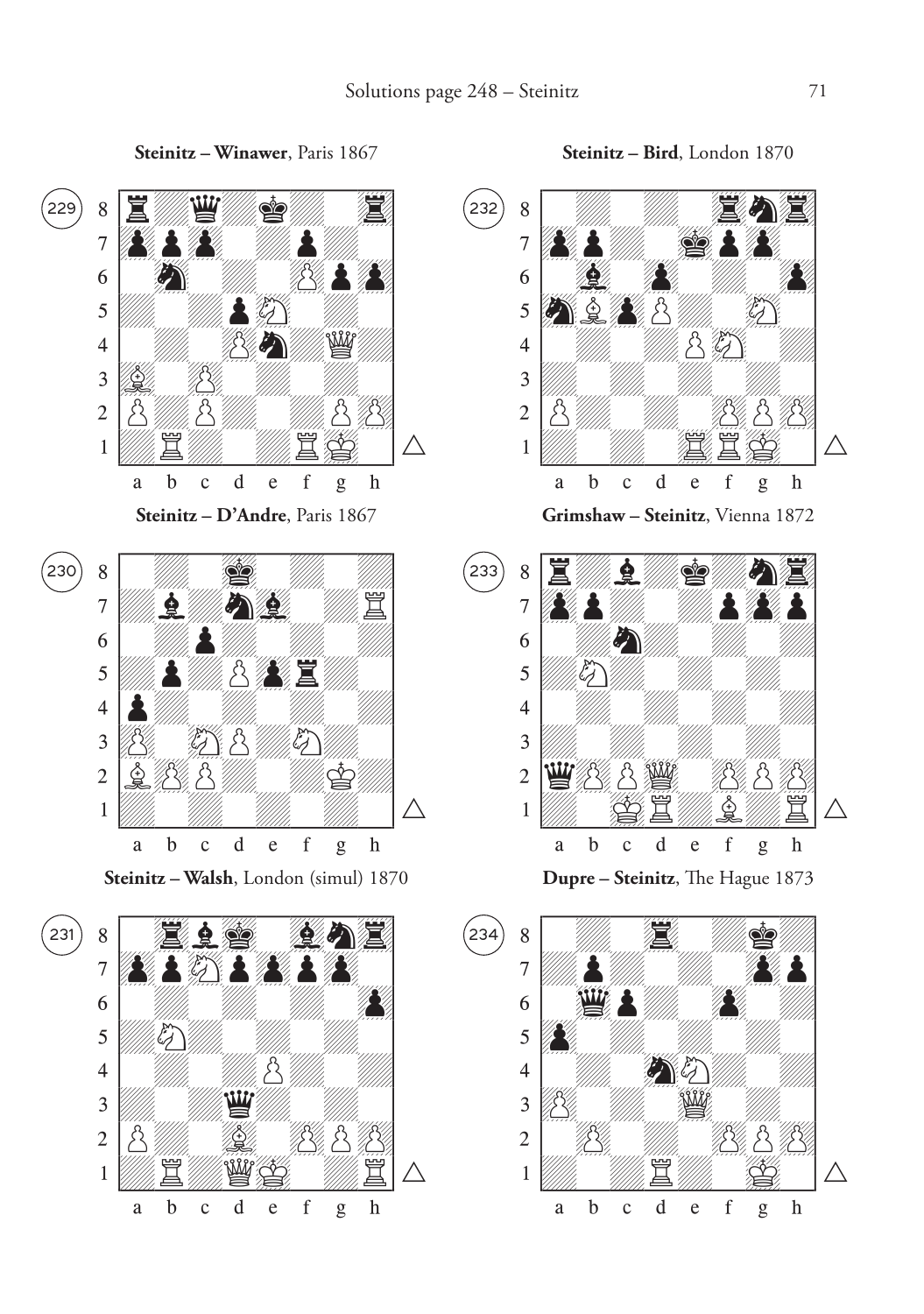71

 $\triangle$ 

 $\triangle$ 

 $\triangle$ 

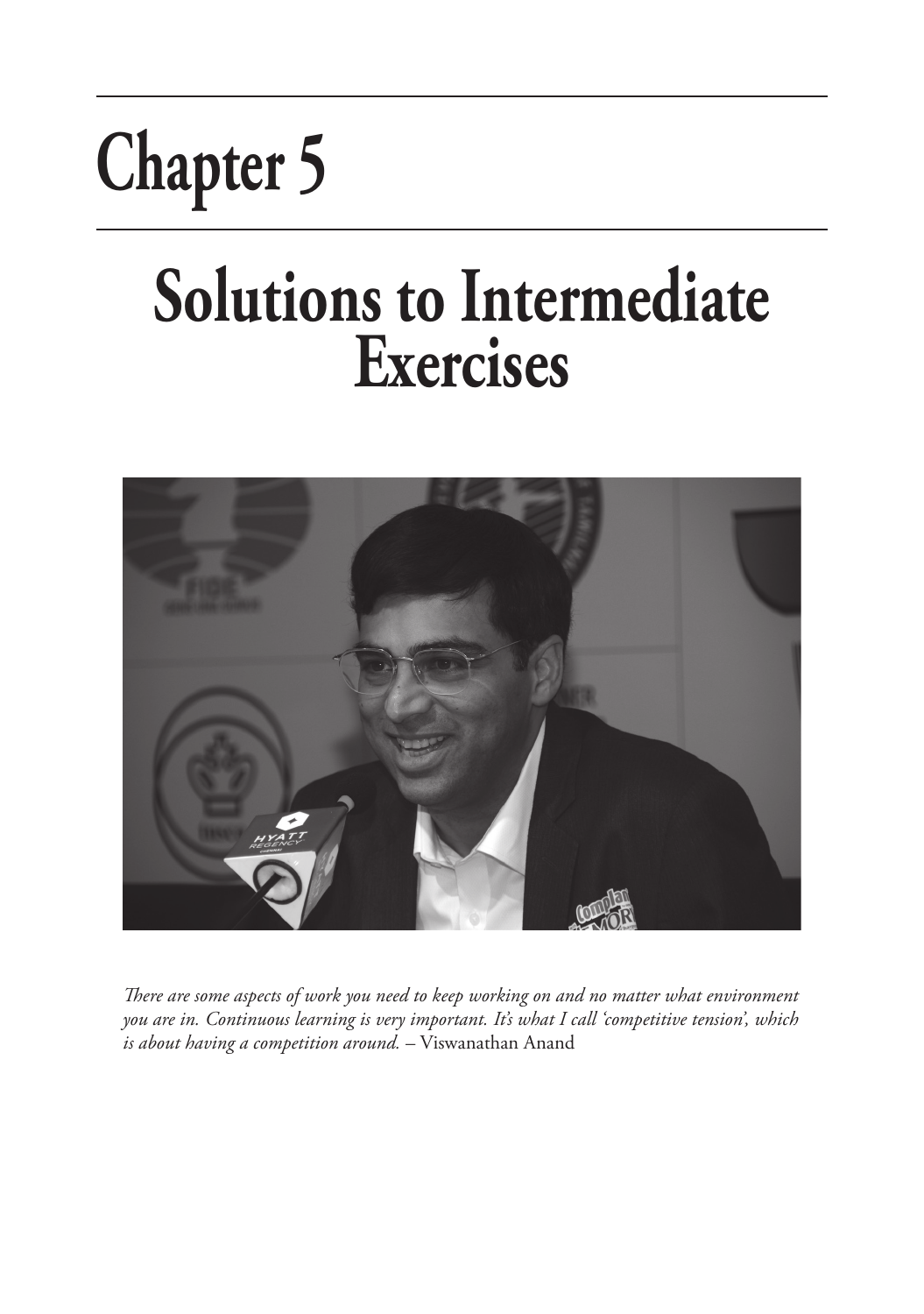## **Chapter 5**

### **Solutions to Intermediate Exercises**



*There are some aspects of work you need to keep working on and no matter what environment you are in. Continuous learning is very important. It's what I call 'competitive tension', which is about having a competition around.* – Viswanathan Anand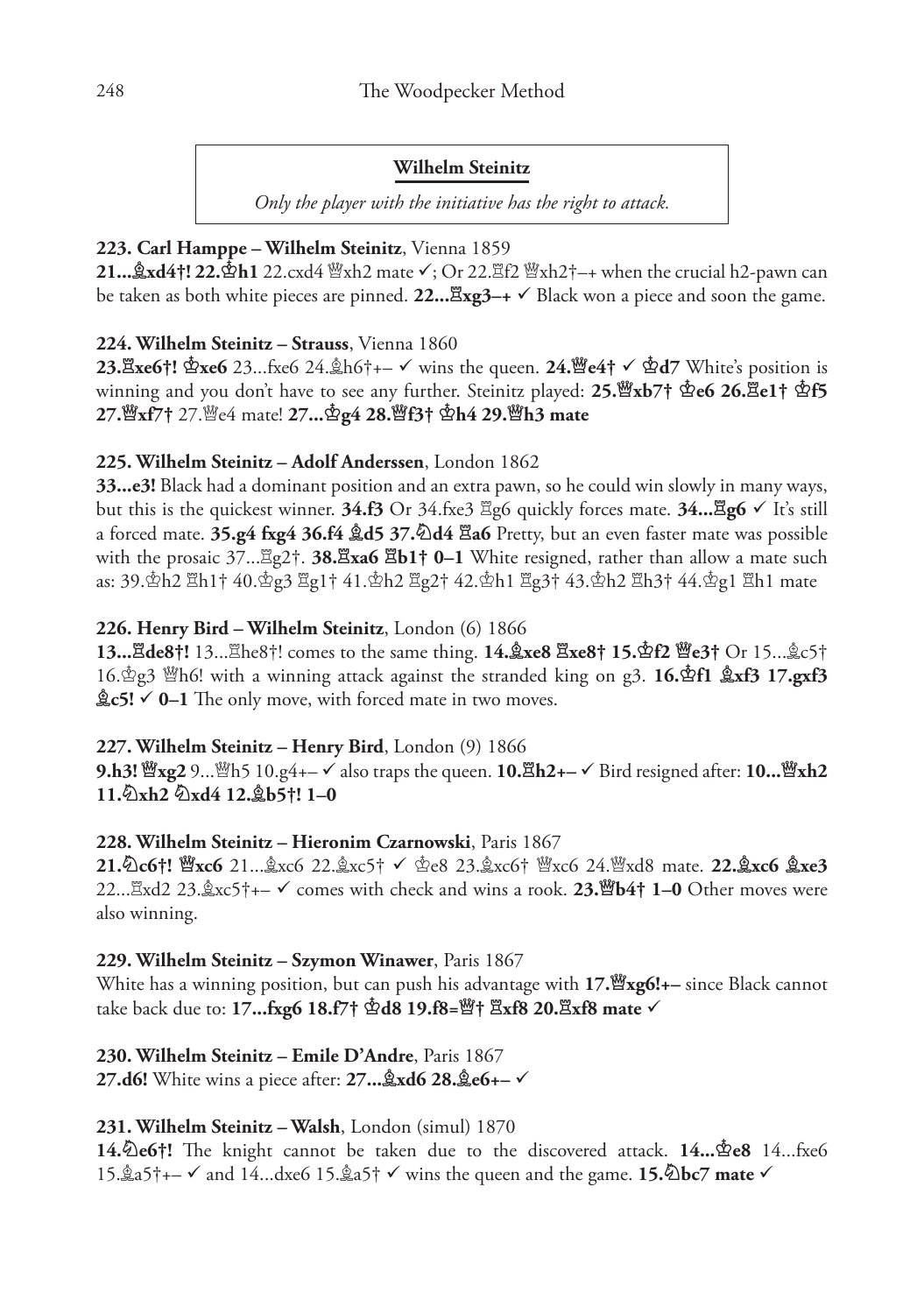#### **Wilhelm Steinitz**

*Only the player with the initiative has the right to attack.*

#### **223. Carl Hamppe – Wilhelm Steinitz**, Vienna 1859

**21.... \$xd4†! 22.**  $\Phi$ **h1** 22. cxd4  $\mathcal{W}$ xh2 mate √; Or 22.  $\mathbb{E}$ f2  $\mathcal{W}$ xh2†–+ when the crucial h2-pawn can be taken as both white pieces are pinned.  $22...$  $\frac{8}{24}$   $\leq$  Black won a piece and soon the game.

#### **224. Wilhelm Steinitz – Strauss**, Vienna 1860

**23.¦xe6†! ¢xe6** 23...fxe6 24.¥h6†+– wins the queen. **24.£e4† ¢d7** White's position is winning and you don't have to see any further. Steinitz played: **25.£xb7† ¢e6 26.¦e1† ¢f5 27.£xf7†** 27.£e4 mate! **27...¢g4 28.£f3† ¢h4 29.£h3 mate**

#### **225. Wilhelm Steinitz – Adolf Anderssen**, London 1862

**33...e3!** Black had a dominant position and an extra pawn, so he could win slowly in many ways, but this is the quickest winner. **34.f3** Or 34.fxe3 ¦g6 quickly forces mate. **34...¦g6** It's still a forced mate. **35.g4 fxg4 36.f4 ¥d5 37.¤d4 ¦a6** Pretty, but an even faster mate was possible with the prosaic 37...¦g2†. **38.¦xa6 ¦b1† 0–1** White resigned, rather than allow a mate such as: 39.¢h2 ¦h1† 40.¢g3 ¦g1† 41.¢h2 ¦g2† 42.¢h1 ¦g3† 43.¢h2 ¦h3† 44.¢g1 ¦h1 mate

#### **226. Henry Bird – Wilhelm Steinitz**, London (6) 1866

**13...¦de8†!** 13...¦he8†! comes to the same thing. **14.¥xe8 ¦xe8† 15.¢f2 £e3†** Or 15...¥c5† 16.¢g3 £h6! with a winning attack against the stranded king on g3. **16.¢f1 ¥xf3 17.gxf3 ¥c5! 0–1** The only move, with forced mate in two moves.

#### **227. Wilhelm Steinitz – Henry Bird**, London (9) 1866

**9.h3! 曾xg2** 9.... 曾h5 10.g4+– √ also traps the queen. **10.**<sup>2</sup>h2+– √ Bird resigned after: 10...曾xh2 **11.¤xh2 ¤xd4 12.¥b5†! 1–0**

#### **228. Wilhelm Steinitz – Hieronim Czarnowski**, Paris 1867

**21.¤c6†! £xc6** 21...¥xc6 22.¥xc5† ¢e8 23.¥xc6† £xc6 24.£xd8 mate. **22.¥xc6 ¥xe3**  22...¦xd2 23.¥xc5†+– comes with check and wins a rook. **23.£b4† 1–0** Other moves were also winning.

#### **229. Wilhelm Steinitz – Szymon Winawer**, Paris 1867

White has a winning position, but can push his advantage with **17.£xg6!+–** since Black cannot take back due to: **17...fxg6 18.f7† ¢d8 19.f8=£† ¦xf8 20.¦xf8 mate** 

**230. Wilhelm Steinitz – Emile D'Andre**, Paris 1867 **27.d6!** White wins a piece after: **27...¥xd6 28.¥e6+–** 

#### **231. Wilhelm Steinitz – Walsh**, London (simul) 1870

**14.¤e6†!** The knight cannot be taken due to the discovered attack. **14...¢e8** 14...fxe6 15.¥a5†+– and 14...dxe6 15.¥a5† wins the queen and the game. **15.¤bc7 mate**